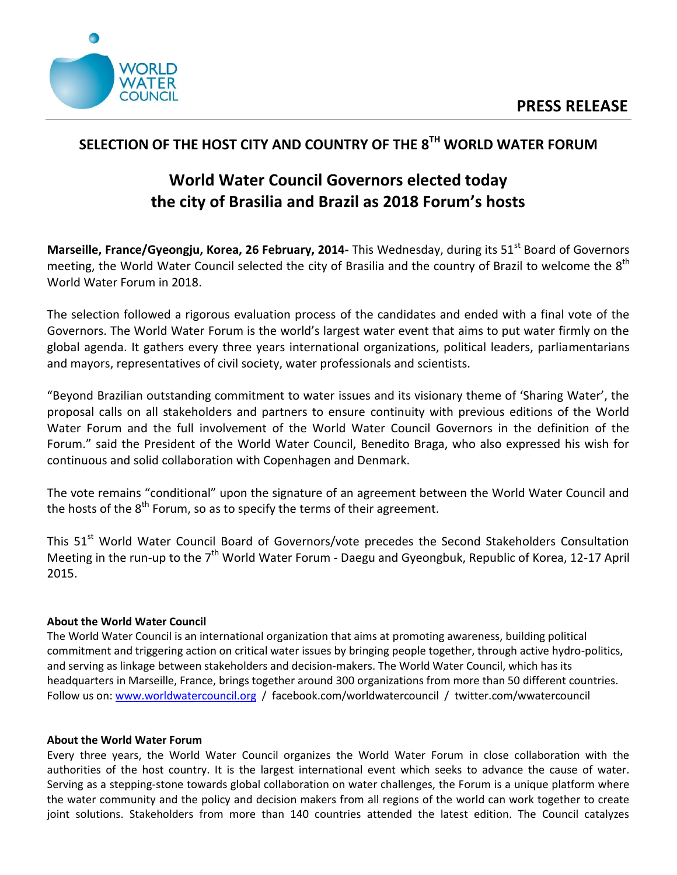

## **SELECTION OF THE HOST CITY AND COUNTRY OF THE 8 TH WORLD WATER FORUM**

## **World Water Council Governors elected today the city of Brasilia and Brazil as 2018 Forum's hosts**

**Marseille, France/Gyeongju, Korea, 26 February, 2014-** This Wednesday, during its 51<sup>st</sup> Board of Governors meeting, the World Water Council selected the city of Brasilia and the country of Brazil to welcome the  $8<sup>th</sup>$ World Water Forum in 2018.

The selection followed a rigorous evaluation process of the candidates and ended with a final vote of the Governors. The World Water Forum is the world's largest water event that aims to put water firmly on the global agenda. It gathers every three years international organizations, political leaders, parliamentarians and mayors, representatives of civil society, water professionals and scientists.

"Beyond Brazilian outstanding commitment to water issues and its visionary theme of 'Sharing Water', the proposal calls on all stakeholders and partners to ensure continuity with previous editions of the World Water Forum and the full involvement of the World Water Council Governors in the definition of the Forum." said the President of the World Water Council, Benedito Braga, who also expressed his wish for continuous and solid collaboration with Copenhagen and Denmark.

The vote remains "conditional" upon the signature of an agreement between the World Water Council and the hosts of the  $8<sup>th</sup>$  Forum, so as to specify the terms of their agreement.

This 51<sup>st</sup> World Water Council Board of Governors/vote precedes the Second Stakeholders Consultation Meeting in the run-up to the  $7<sup>th</sup>$  World Water Forum - Daegu and Gyeongbuk, Republic of Korea, 12-17 April 2015.

## **About the World Water Council**

The World Water Council is an international organization that aims at promoting awareness, building political commitment and triggering action on critical water issues by bringing people together, through active hydro-politics, and serving as linkage between stakeholders and decision-makers. The World Water Council, which has its headquarters in Marseille, France, brings together around 300 organizations from more than 50 different countries. Follow us on: [www.worldwatercouncil.org](http://www.worldwatercouncil.org/) / facebook.com/worldwatercouncil / twitter.com/wwatercouncil

## **About the World Water Forum**

Every three years, the World Water Council organizes the World Water Forum in close collaboration with the authorities of the host country. It is the largest international event which seeks to advance the cause of water. Serving as a stepping-stone towards global collaboration on water challenges, the Forum is a unique platform where the water community and the policy and decision makers from all regions of the world can work together to create joint solutions. Stakeholders from more than 140 countries attended the latest edition. The Council catalyzes